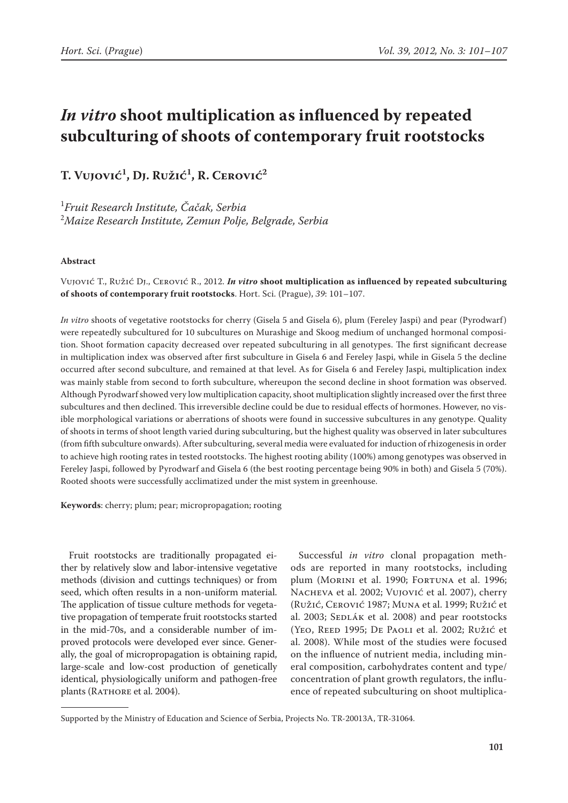# *In vitro* **shoot multiplication as influenced by repeated subculturing of shoots of contemporary fruit rootstocks**

**T. Vujović1 , Dj. Ružić1 , R. Cerović2**

1 *Fruit Research Institute, Čačak, Serbia* 2 *Maize Research Institute, Zemun Polje, Belgrade, Serbia*

### **Abstract**

Vujović T., Ružić Dj., Cerović R., 2012. *In vitro* **shoot multiplication as influenced by repeated subculturing of shoots of contemporary fruit rootstocks**. Hort. Sci. (Prague), *39*: 101–107.

*In vitro* shoots of vegetative rootstocks for cherry (Gisela 5 and Gisela 6), plum (Fereley Jaspi) and pear (Pyrodwarf) were repeatedly subcultured for 10 subcultures on Murashige and Skoog medium of unchanged hormonal composition. Shoot formation capacity decreased over repeated subculturing in all genotypes. The first significant decrease in multiplication index was observed after first subculture in Gisela 6 and Fereley Jaspi, while in Gisela 5 the decline occurred after second subculture, and remained at that level. As for Gisela 6 and Fereley Jaspi, multiplication index was mainly stable from second to forth subculture, whereupon the second decline in shoot formation was observed. Although Pyrodwarf showed very low multiplication capacity, shoot multiplication slightly increased over the first three subcultures and then declined. This irreversible decline could be due to residual effects of hormones. However, no visible morphological variations or aberrations of shoots were found in successive subcultures in any genotype. Quality of shoots in terms of shoot length varied during subculturing, but the highest quality was observed in later subcultures (from fifth subculture onwards). After subculturing, several media were evaluated for induction of rhizogenesis in order to achieve high rooting rates in tested rootstocks. The highest rooting ability (100%) among genotypes was observed in Fereley Jaspi, followed by Pyrodwarf and Gisela 6 (the best rooting percentage being 90% in both) and Gisela 5 (70%). Rooted shoots were successfully acclimatized under the mist system in greenhouse.

**Keywords**: cherry; plum; pear; micropropagation; rooting

Fruit rootstocks are traditionally propagated either by relatively slow and labor-intensive vegetative methods (division and cuttings techniques) or from seed, which often results in a non-uniform material. The application of tissue culture methods for vegetative propagation of temperate fruit rootstocks started in the mid-70s, and a considerable number of improved protocols were developed ever since. Generally, the goal of micropropagation is obtaining rapid, large-scale and low-cost production of genetically identical, physiologically uniform and pathogen-free plants (RATHORE et al. 2004).

Successful *in vitro* clonal propagation methods are reported in many rootstocks, including plum (Morini et al. 1990; Fortuna et al. 1996; Nacheva et al. 2002; Vujović et al. 2007), cherry (Ružić, Cerović 1987; Muna et al. 1999; Ružić et al. 2003; SEDLÁK et al. 2008) and pear rootstocks (Yeo, Reed 1995; De Paoli et al. 2002; Ružić et al. 2008). While most of the studies were focused on the influence of nutrient media, including mineral composition, carbohydrates content and type/ concentration of plant growth regulators, the influence of repeated subculturing on shoot multiplica-

Supported by the Ministry of Education and Science of Serbia, Projects No. TR-20013A, TR-31064.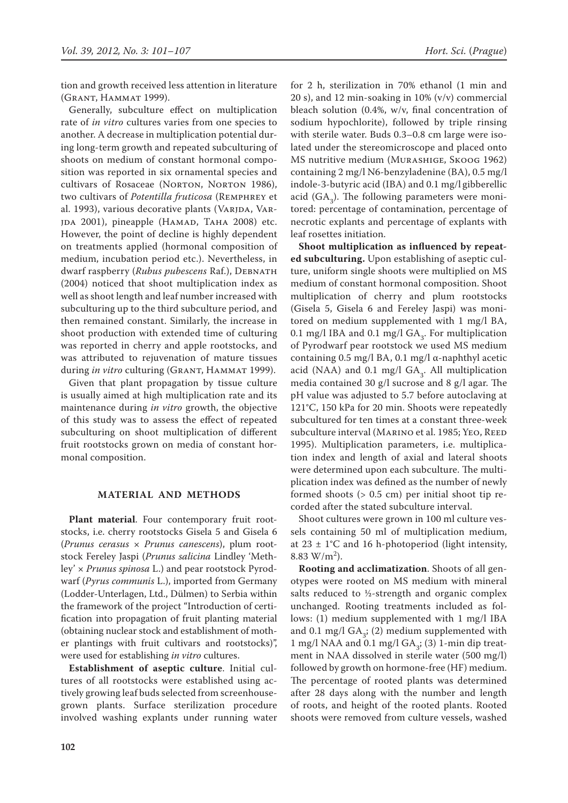tion and growth received less attention in literature (Grant, Hammat 1999).

Generally, subculture effect on multiplication rate of *in vitro* cultures varies from one species to another. A decrease in multiplication potential during long-term growth and repeated subculturing of shoots on medium of constant hormonal composition was reported in six ornamental species and cultivars of Rosaceae (NORTON, NORTON 1986), two cultivars of *Potentilla fruticosa* (Remphrey et al. 1993), various decorative plants (VARJDA, VAR-JDA 2001), pineapple (HAMAD, TAHA 2008) etc. However, the point of decline is highly dependent on treatments applied (hormonal composition of medium, incubation period etc.). Nevertheless, in dwarf raspberry (*Rubus pubescens* Raf.), DEBNATH (2004) noticed that shoot multiplication index as well as shoot length and leaf number increased with subculturing up to the third subculture period, and then remained constant. Similarly, the increase in shoot production with extended time of culturing was reported in cherry and apple rootstocks, and was attributed to rejuvenation of mature tissues during *in vitro* culturing (GRANT, HAMMAT 1999).

Given that plant propagation by tissue culture is usually aimed at high multiplication rate and its maintenance during *in vitro* growth, the objective of this study was to assess the effect of repeated subculturing on shoot multiplication of different fruit rootstocks grown on media of constant hormonal composition.

#### **MATERIAL AND METHODS**

**Plant material**. Four contemporary fruit rootstocks, i.e. cherry rootstocks Gisela 5 and Gisela 6 (*Prunus cerasus* × *Prunus canescens*), plum rootstock Fereley Jaspi (*Prunus salicina* Lindley 'Methley' × *Prunus spinosa* L.) and pear rootstock Pyrodwarf (*Pyrus communis* L.), imported from Germany (Lodder-Unterlagen, Ltd., Dülmen) to Serbia within the framework of the project "Introduction of certification into propagation of fruit planting material (obtaining nuclear stock and establishment of mother plantings with fruit cultivars and rootstocks)", were used for establishing *in vitro* cultures.

**Establishment of aseptic culture**. Initial cultures of all rootstocks were established using actively growing leaf buds selected from screenhousegrown plants. Surface sterilization procedure involved washing explants under running water for 2 h, sterilization in 70% ethanol (1 min and 20 s), and 12 min-soaking in 10% (v/v) commercial bleach solution (0.4%, w/v, final concentration of sodium hypochlorite), followed by triple rinsing with sterile water. Buds 0.3–0.8 cm large were isolated under the stereomicroscope and placed onto MS nutritive medium (Murashige, Skoog 1962) containing 2 mg/l N6-benzyladenine (BA), 0.5 mg/l indole-3-butyric acid (IBA) and 0.1 mg/l gibberellic acid  $(GA_3)$ . The following parameters were monitored: percentage of contamination, percentage of necrotic explants and percentage of explants with leaf rosettes initiation.

**Shoot multiplication as influenced by repeated subculturing.** Upon establishing of aseptic culture, uniform single shoots were multiplied on MS medium of constant hormonal composition. Shoot multiplication of cherry and plum rootstocks (Gisela 5, Gisela 6 and Fereley Jaspi) was monitored on medium supplemented with 1 mg/l BA, 0.1 mg/l IBA and 0.1 mg/l  $GA_3$ . For multiplication of Pyrodwarf pear rootstock we used MS medium containing 0.5 mg/l BA, 0.1 mg/l α-naphthyl acetic acid (NAA) and 0.1 mg/l  $GA_3$ . All multiplication media contained 30 g/l sucrose and 8 g/l agar. The pH value was adjusted to 5.7 before autoclaving at 121°C, 150 kPa for 20 min. Shoots were repeatedly subcultured for ten times at a constant three-week subculture interval (MARINO et al. 1985; YEO, REED 1995). Multiplication parameters, i.e. multiplication index and length of axial and lateral shoots were determined upon each subculture. The multiplication index was defined as the number of newly formed shoots (> 0.5 cm) per initial shoot tip recorded after the stated subculture interval.

Shoot cultures were grown in 100 ml culture vessels containing 50 ml of multiplication medium, at  $23 \pm 1^{\circ}$ C and 16 h-photoperiod (light intensity, 8.83 W/m<sup>2</sup>).

**Rooting and acclimatization**. Shoots of all genotypes were rooted on MS medium with mineral salts reduced to  $\frac{1}{2}$ -strength and organic complex unchanged. Rooting treatments included as follows: (1) medium supplemented with 1 mg/l IBA and 0.1 mg/l  $GA_3$ ; (2) medium supplemented with 1 mg/l NAA and 0.1 mg/l  $GA_{3}$ ; (3) 1-min dip treatment in NAA dissolved in sterile water (500 mg/l) followed by growth on hormone-free (HF) medium. The percentage of rooted plants was determined after 28 days along with the number and length of roots, and height of the rooted plants. Rooted shoots were removed from culture vessels, washed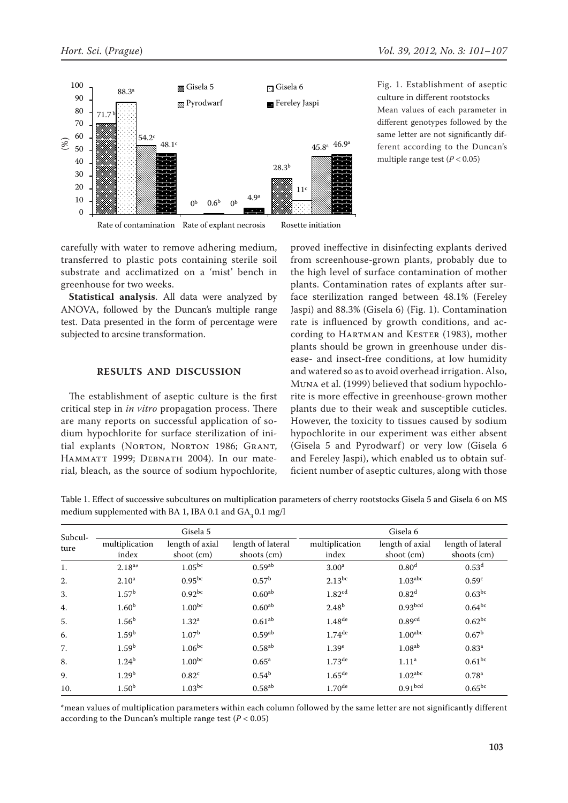

Fig. 1. Establishment of aseptic culture in different rootstocks Mean values of each parameter in different genotypes followed by the same letter are not significantly different according to the Duncan's multiple range test  $(P < 0.05)$ 

### **RESULTS AND DISCUSSION**

Table 1. Effect of successive subcultures on multiplication parameters of cherry rootstocks Gisela 5 and Gisela 6 on MS medium supplemented with BA 1, IBA 0.1 and  $GA_{3}$  0.1 mg/l

| $(\%)$<br>50<br>40<br>30<br>20<br>10<br>$\boldsymbol{0}$ | ታተ.∠                                                                                                                                                                                                                                                                                                                                                                                                                                                                                                                                                                                                                                                                                                                                                                                                                                         | 48.1 <sup>c</sup><br>0.6 <sup>b</sup><br>0 <sub>p</sub> | 28.3 <sup>b</sup><br>4.9 <sup>a</sup><br>0 <sub>p</sub> | $45.8a$ 46.9a<br>11 <sup>c</sup>                                                                                                                                                                                                                                                                                                                                                                                                                                                                                                                                                                                                                                                                                                                                                                                                                                                                                                                                                                                                                                                                                                                                      | multiple range test ( $P < 0.05$ ) | ferent according to the Duncan's |
|----------------------------------------------------------|----------------------------------------------------------------------------------------------------------------------------------------------------------------------------------------------------------------------------------------------------------------------------------------------------------------------------------------------------------------------------------------------------------------------------------------------------------------------------------------------------------------------------------------------------------------------------------------------------------------------------------------------------------------------------------------------------------------------------------------------------------------------------------------------------------------------------------------------|---------------------------------------------------------|---------------------------------------------------------|-----------------------------------------------------------------------------------------------------------------------------------------------------------------------------------------------------------------------------------------------------------------------------------------------------------------------------------------------------------------------------------------------------------------------------------------------------------------------------------------------------------------------------------------------------------------------------------------------------------------------------------------------------------------------------------------------------------------------------------------------------------------------------------------------------------------------------------------------------------------------------------------------------------------------------------------------------------------------------------------------------------------------------------------------------------------------------------------------------------------------------------------------------------------------|------------------------------------|----------------------------------|
|                                                          |                                                                                                                                                                                                                                                                                                                                                                                                                                                                                                                                                                                                                                                                                                                                                                                                                                              | Rate of contamination Rate of explant necrosis          |                                                         | Rosette initiation                                                                                                                                                                                                                                                                                                                                                                                                                                                                                                                                                                                                                                                                                                                                                                                                                                                                                                                                                                                                                                                                                                                                                    |                                    |                                  |
|                                                          | carefully with water to remove adhering medium,<br>transferred to plastic pots containing sterile soil<br>substrate and acclimatized on a 'mist' bench in<br>greenhouse for two weeks.<br>Statistical analysis. All data were analyzed by<br>ANOVA, followed by the Duncan's multiple range<br>test. Data presented in the form of percentage were<br>subjected to arcsine transformation.<br>The establishment of aseptic culture is the first<br>critical step in in vitro propagation process. There<br>are many reports on successful application of so-<br>dium hypochlorite for surface sterilization of ini-<br>tial explants (NORTON, NORTON 1986; GRANT,<br>HAMMATT 1999; DEBNATH 2004). In our mate-<br>rial, bleach, as the source of sodium hypochlorite,<br>medium supplemented with BA 1, IBA 0.1 and GA <sub>3</sub> 0.1 mg/l | RESULTS AND DISCUSSION                                  |                                                         | proved ineffective in disinfecting explants derived<br>from screenhouse-grown plants, probably due to<br>the high level of surface contamination of mother<br>plants. Contamination rates of explants after sur-<br>face sterilization ranged between 48.1% (Fereley<br>Jaspi) and 88.3% (Gisela 6) (Fig. 1). Contamination<br>rate is influenced by growth conditions, and ac-<br>cording to HARTMAN and KESTER (1983), mother<br>plants should be grown in greenhouse under dis-<br>ease- and insect-free conditions, at low humidity<br>and watered so as to avoid overhead irrigation. Also,<br>MUNA et al. (1999) believed that sodium hypochlo-<br>rite is more effective in greenhouse-grown mother<br>plants due to their weak and susceptible cuticles.<br>However, the toxicity to tissues caused by sodium<br>hypochlorite in our experiment was either absent<br>(Gisela 5 and Pyrodwarf) or very low (Gisela 6<br>and Fereley Jaspi), which enabled us to obtain suf-<br>ficient number of aseptic cultures, along with those<br>Table 1. Effect of successive subcultures on multiplication parameters of cherry rootstocks Gisela 5 and Gisela 6 on MS |                                    |                                  |
|                                                          |                                                                                                                                                                                                                                                                                                                                                                                                                                                                                                                                                                                                                                                                                                                                                                                                                                              | Gisela 5                                                |                                                         |                                                                                                                                                                                                                                                                                                                                                                                                                                                                                                                                                                                                                                                                                                                                                                                                                                                                                                                                                                                                                                                                                                                                                                       | Gisela 6                           |                                  |
| Subcul-<br>ture                                          | multiplication<br>index                                                                                                                                                                                                                                                                                                                                                                                                                                                                                                                                                                                                                                                                                                                                                                                                                      | length of axial<br>shoot (cm)                           | length of lateral<br>shoots (cm)                        | multiplication<br>index                                                                                                                                                                                                                                                                                                                                                                                                                                                                                                                                                                                                                                                                                                                                                                                                                                                                                                                                                                                                                                                                                                                                               | length of axial<br>shoot (cm)      | length of lateral<br>shoots (cm) |
| Ī.                                                       | $2.18^{a*}$                                                                                                                                                                                                                                                                                                                                                                                                                                                                                                                                                                                                                                                                                                                                                                                                                                  | 1.05 <sup>bc</sup>                                      | 0.59 <sup>ab</sup>                                      | 3.00 <sup>a</sup>                                                                                                                                                                                                                                                                                                                                                                                                                                                                                                                                                                                                                                                                                                                                                                                                                                                                                                                                                                                                                                                                                                                                                     | $0.80^{\rm d}$                     | 0.53 <sup>d</sup>                |
| 2.                                                       | 2.10 <sup>a</sup>                                                                                                                                                                                                                                                                                                                                                                                                                                                                                                                                                                                                                                                                                                                                                                                                                            | $0.95^{bc}$                                             | $0.57^{\rm b}$                                          | $2.13^{\rm bc}$                                                                                                                                                                                                                                                                                                                                                                                                                                                                                                                                                                                                                                                                                                                                                                                                                                                                                                                                                                                                                                                                                                                                                       | $1.03^{\rm abc}$                   | 0.59 <sup>c</sup>                |
| 3.                                                       | $1.57^{\rm b}$                                                                                                                                                                                                                                                                                                                                                                                                                                                                                                                                                                                                                                                                                                                                                                                                                               | $0.92^{bc}$                                             | $0.60^{ab}$                                             | 1.82 <sup>cd</sup>                                                                                                                                                                                                                                                                                                                                                                                                                                                                                                                                                                                                                                                                                                                                                                                                                                                                                                                                                                                                                                                                                                                                                    | 0.82 <sup>d</sup>                  | $0.63^{bc}$                      |
| 4.                                                       | 1.60 <sup>b</sup>                                                                                                                                                                                                                                                                                                                                                                                                                                                                                                                                                                                                                                                                                                                                                                                                                            | $1.00^{bc}$                                             | $0.60^{ab}$                                             | 2.48 <sup>b</sup>                                                                                                                                                                                                                                                                                                                                                                                                                                                                                                                                                                                                                                                                                                                                                                                                                                                                                                                                                                                                                                                                                                                                                     | 0.93 <sup>bcd</sup>                | $0.64^{bc}$                      |
| 5.                                                       | 1.56 <sup>b</sup>                                                                                                                                                                                                                                                                                                                                                                                                                                                                                                                                                                                                                                                                                                                                                                                                                            | 1.32 <sup>a</sup>                                       | 0.61 <sup>ab</sup>                                      | $1.48^{\rm de}$                                                                                                                                                                                                                                                                                                                                                                                                                                                                                                                                                                                                                                                                                                                                                                                                                                                                                                                                                                                                                                                                                                                                                       | 0.89 <sup>cd</sup>                 | $0.62^{bc}$                      |
| 6.                                                       | 1.59 <sup>b</sup>                                                                                                                                                                                                                                                                                                                                                                                                                                                                                                                                                                                                                                                                                                                                                                                                                            | 1.07 <sup>b</sup>                                       | 0.59 <sup>ab</sup>                                      | $1.74$ <sup>de</sup>                                                                                                                                                                                                                                                                                                                                                                                                                                                                                                                                                                                                                                                                                                                                                                                                                                                                                                                                                                                                                                                                                                                                                  | 1.00 <sup>abc</sup>                | 0.67 <sup>b</sup>                |
| 7.                                                       | 1.59 <sup>b</sup>                                                                                                                                                                                                                                                                                                                                                                                                                                                                                                                                                                                                                                                                                                                                                                                                                            | $1.06^{bc}$                                             | $0.58^{ab}$                                             | 1.39 <sup>e</sup>                                                                                                                                                                                                                                                                                                                                                                                                                                                                                                                                                                                                                                                                                                                                                                                                                                                                                                                                                                                                                                                                                                                                                     | $1.08^{\rm ab}$                    | $0.83^{\rm a}$                   |
| 8.                                                       | 1.24 <sup>b</sup>                                                                                                                                                                                                                                                                                                                                                                                                                                                                                                                                                                                                                                                                                                                                                                                                                            | $1.00^{bc}$                                             | $0.65\mathrm{^a}$                                       | $1.73$ <sup>de</sup>                                                                                                                                                                                                                                                                                                                                                                                                                                                                                                                                                                                                                                                                                                                                                                                                                                                                                                                                                                                                                                                                                                                                                  | $1.11$ <sup>a</sup>                | $0.61^{bc}$                      |
| 9.                                                       | 1.29 <sup>b</sup>                                                                                                                                                                                                                                                                                                                                                                                                                                                                                                                                                                                                                                                                                                                                                                                                                            | $0.82^{\circ}$                                          | $0.54^{b}$                                              | $1.65$ <sup>de</sup>                                                                                                                                                                                                                                                                                                                                                                                                                                                                                                                                                                                                                                                                                                                                                                                                                                                                                                                                                                                                                                                                                                                                                  | $1.02$ <sup>abc</sup>              | 0.78 <sup>a</sup>                |
| 10.                                                      | $1.50^{\rm b}$                                                                                                                                                                                                                                                                                                                                                                                                                                                                                                                                                                                                                                                                                                                                                                                                                               | $1.03^{bc}$                                             | $0.58^{ab}$                                             | $1.70$ <sup>de</sup>                                                                                                                                                                                                                                                                                                                                                                                                                                                                                                                                                                                                                                                                                                                                                                                                                                                                                                                                                                                                                                                                                                                                                  | 0.91 <sub>bcd</sub>                | $0.65^{bc}$                      |
|                                                          | according to the Duncan's multiple range test ( $P < 0.05$ )                                                                                                                                                                                                                                                                                                                                                                                                                                                                                                                                                                                                                                                                                                                                                                                 |                                                         |                                                         | *mean values of multiplication parameters within each column followed by the same letter are not significantly different                                                                                                                                                                                                                                                                                                                                                                                                                                                                                                                                                                                                                                                                                                                                                                                                                                                                                                                                                                                                                                              |                                    |                                  |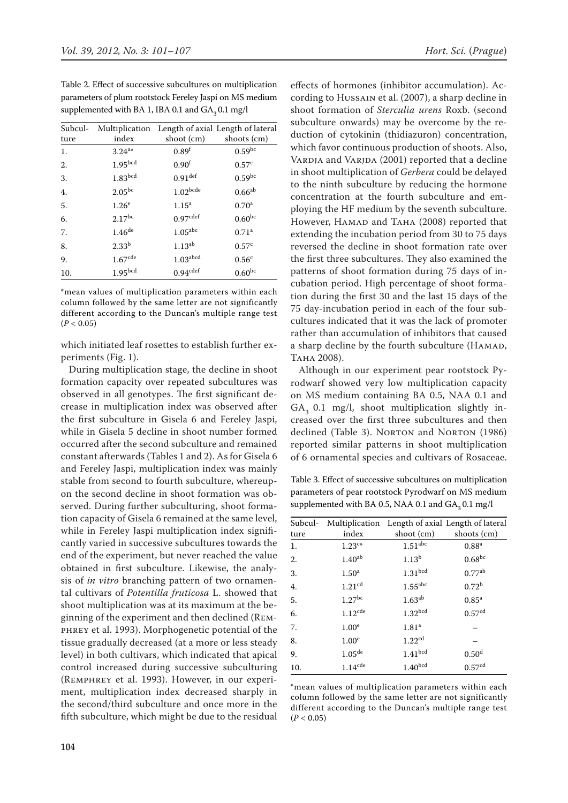Table 2. Effect of successive subcultures on multiplication parameters of plum rootstock Fereley Jaspi on MS medium supplemented with BA 1, IBA 0.1 and  $GA_2$  0.1 mg/l

| Subcul- |                     |                        | Multiplication Length of axial Length of lateral |
|---------|---------------------|------------------------|--------------------------------------------------|
| ture    | index               | shoot (cm)             | shoots (cm)                                      |
| 1.      | $3.24^{a*}$         | 0.89 <sup>f</sup>      | $0.59^{bc}$                                      |
| 2.      | 1.95 <sub>bcd</sub> | 0.90 <sup>f</sup>      | 0.57 <sup>c</sup>                                |
| 3.      | 1.83 <sup>bcd</sup> | $0.91$ <sup>def</sup>  | $0.59^{bc}$                                      |
| 4.      | $2.05^{\rm bc}$     | $1.02^{bcde}$          | $0.66^{ab}$                                      |
| 5.      | 1.26 <sup>e</sup>   | 1.15 <sup>a</sup>      | 0.70 <sup>a</sup>                                |
| 6.      | $2.17^{bc}$         | 0.97 <sup>cdef</sup>   | $0.60^{bc}$                                      |
| 7.      | $1.46^{\rm de}$     | $1.05^{\rm abc}$       | 0.71 <sup>a</sup>                                |
| 8.      | $2.33^{b}$          | $1.13^{ab}$            | 0.57 <sup>c</sup>                                |
| 9.      | $1.67^{\rm cde}$    | $1.03$ <sup>abcd</sup> | 0.56 <sup>c</sup>                                |
| 10.     | 1.95 <sup>bcd</sup> | 0.94 <sup>cdef</sup>   | $0.60^{bc}$                                      |

\*mean values of multiplication parameters within each column followed by the same letter are not significantly different according to the Duncan's multiple range test  $(P < 0.05)$ 

which initiated leaf rosettes to establish further experiments (Fig. 1).

During multiplication stage, the decline in shoot formation capacity over repeated subcultures was observed in all genotypes. The first significant decrease in multiplication index was observed after the first subculture in Gisela 6 and Fereley Jaspi, while in Gisela 5 decline in shoot number formed occurred after the second subculture and remained constant afterwards (Tables 1 and 2). As for Gisela 6 and Fereley Jaspi, multiplication index was mainly stable from second to fourth subculture, whereupon the second decline in shoot formation was observed. During further subculturing, shoot formation capacity of Gisela 6 remained at the same level, while in Fereley Jaspi multiplication index significantly varied in successive subcultures towards the end of the experiment, but never reached the value obtained in first subculture. Likewise, the analysis of *in vitro* branching pattern of two ornamental cultivars of *Potentilla fruticosa* L. showed that shoot multiplication was at its maximum at the beginning of the experiment and then declined (Remphrey et al. 1993). Morphogenetic potential of the tissue gradually decreased (at a more or less steady level) in both cultivars, which indicated that apical control increased during successive subculturing (Remphrey et al. 1993). However, in our experiment, multiplication index decreased sharply in the second/third subculture and once more in the fifth subculture, which might be due to the residual

effects of hormones (inhibitor accumulation). According to Hussain et al. (2007), a sharp decline in shoot formation of *Sterculia urens* Roxb. (second subculture onwards) may be overcome by the reduction of cytokinin (thidiazuron) concentration, which favor continuous production of shoots. Also, VARDJA and VARJDA (2001) reported that a decline in shoot multiplication of *Gerbera* could be delayed to the ninth subculture by reducing the hormone concentration at the fourth subculture and employing the HF medium by the seventh subculture. However, HAMAD and TAHA (2008) reported that extending the incubation period from 30 to 75 days reversed the decline in shoot formation rate over the first three subcultures. They also examined the patterns of shoot formation during 75 days of incubation period. High percentage of shoot formation during the first 30 and the last 15 days of the 75 day-incubation period in each of the four subcultures indicated that it was the lack of promoter rather than accumulation of inhibitors that caused a sharp decline by the fourth subculture (HAMAD, **ТАНА 2008).** 

Although in our experiment pear rootstock Pyrodwarf showed very low multiplication capacity on MS medium containing BA 0.5, NAA 0.1 and  $GA<sub>3</sub>$  0.1 mg/l, shoot multiplication slightly increased over the first three subcultures and then declined (Table 3). NORTON and NORTON (1986) reported similar patterns in shoot multiplication of 6 ornamental species and cultivars of Rosaceae.

Table 3. Effect of successive subcultures on multiplication parameters of pear rootstock Pyrodwarf on MS medium supplemented with BA 0.5, NAA 0.1 and  $GA_3 0.1$  mg/l

| index              | shoot (cm)          | shoots (cm)                                      |
|--------------------|---------------------|--------------------------------------------------|
| $1.23^{c*}$        | 1.51 <sup>abc</sup> | 0.88 <sup>a</sup>                                |
| $1.40^{\rm ab}$    | 1.13 <sup>b</sup>   | $0.68^{\rm bc}$                                  |
| 1.50 <sup>a</sup>  | 1.31 <sup>bcd</sup> | $0.77^{\rm ab}$                                  |
| 1.21 <sup>cd</sup> | $1.55^{\rm abc}$    | $0.72^{b}$                                       |
| $1.27$ bc          | $1.63^{ab}$         | $0.85^{a}$                                       |
| $1.12^{\rm cde}$   | 1.32 <sup>bcd</sup> | 0.57 <sup>cd</sup>                               |
| 1.00 <sup>e</sup>  | 1.81 <sup>a</sup>   |                                                  |
| 1.00 <sup>e</sup>  | 1.22 <sup>cd</sup>  |                                                  |
| $1.05^{\rm de}$    | 1.41 <sup>bcd</sup> | 0.50 <sup>d</sup>                                |
| $1.14$ cde         | 1.40 <sup>bcd</sup> | 0.57 <sup>cd</sup>                               |
|                    |                     | Multiplication Length of axial Length of lateral |

\*mean values of multiplication parameters within each column followed by the same letter are not significantly different according to the Duncan's multiple range test  $(P < 0.05)$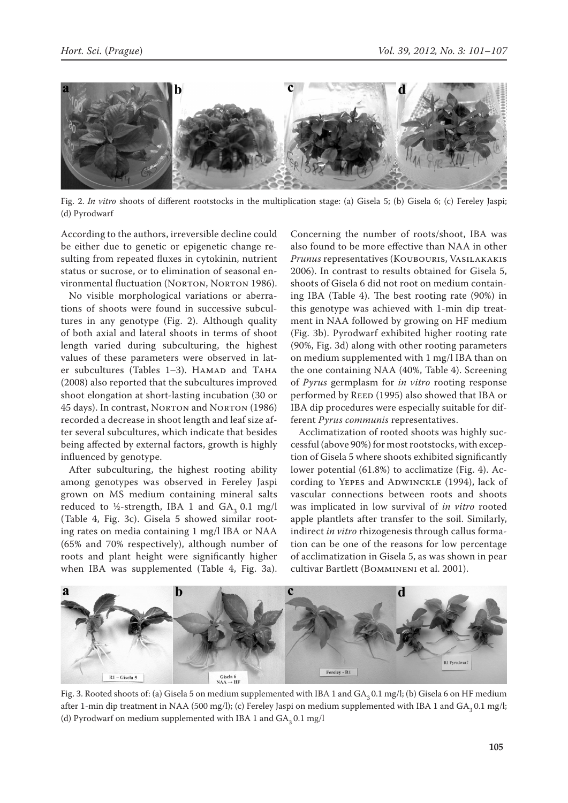

Fig. 2. *In vitro* shoots of different rootstocks in the multiplication stage: (a) Gisela 5; (b) Gisela 6; (c) Fereley Jaspi; (d) Pyrodwarf

According to the authors, irreversible decline could be either due to genetic or epigenetic change resulting from repeated fluxes in cytokinin, nutrient status or sucrose, or to elimination of seasonal environmental fluctuation (NORTON, NORTON 1986).

No visible morphological variations or aberrations of shoots were found in successive subcultures in any genotype (Fig. 2). Although quality of both axial and lateral shoots in terms of shoot length varied during subculturing, the highest values of these parameters were observed in later subcultures (Tables 1-3). HAMAD and TAHA (2008) also reported that the subcultures improved shoot elongation at short-lasting incubation (30 or 45 days). In contrast, NORTON and NORTON (1986) recorded a decrease in shoot length and leaf size after several subcultures, which indicate that besides being affected by external factors, growth is highly influenced by genotype.

After subculturing, the highest rooting ability among genotypes was observed in Fereley Jaspi grown on MS medium containing mineral salts reduced to ½-strength, IBA 1 and  $GA_2$  0.1 mg/l (Table 4, Fig. 3c). Gisela 5 showed similar rooting rates on media containing 1 mg/l IBA or NAA (65% and 70% respectively), although number of roots and plant height were significantly higher when IBA was supplemented (Table 4, Fig. 3a). Concerning the number of roots/shoot, IBA was also found to be more effective than NAA in other *Prunus* representatives (Koubouris, Vasilakakis 2006). In contrast to results obtained for Gisela 5, shoots of Gisela 6 did not root on medium containing IBA (Table 4). The best rooting rate (90%) in this genotype was achieved with 1-min dip treatment in NAA followed by growing on HF medium (Fig. 3b). Pyrodwarf exhibited higher rooting rate (90%, Fig. 3d) along with other rooting parameters on medium supplemented with 1 mg/l IBA than on the one containing NAA (40%, Table 4). Screening of *Pyrus* germplasm for *in vitro* rooting response performed by REED (1995) also showed that IBA or IBA dip procedures were especially suitable for different *Pyrus communis* representatives.

Acclimatization of rooted shoots was highly successful (above 90%) for most rootstocks, with exception of Gisela 5 where shoots exhibited significantly lower potential (61.8%) to acclimatize (Fig. 4). According to YEPES and ADWINCKLE (1994), lack of vascular connections between roots and shoots was implicated in low survival of *in vitro* rooted apple plantlets after transfer to the soil. Similarly, indirect *in vitro* rhizogenesis through callus formation can be one of the reasons for low percentage of acclimatization in Gisela 5, as was shown in pear cultivar Bartlett (Bommineni et al. 2001).



Fig. 3. Rooted shoots of: (a) Gisela 5 on medium supplemented with IBA 1 and GA<sub>2</sub> 0.1 mg/l; (b) Gisela 6 on HF medium after 1-min dip treatment in NAA (500 mg/l); (c) Fereley Jaspi on medium supplemented with IBA 1 and  $GA_2$  0.1 mg/l; (d) Pyrodwarf on medium supplemented with IBA 1 and  $GA_3 0.1$  mg/l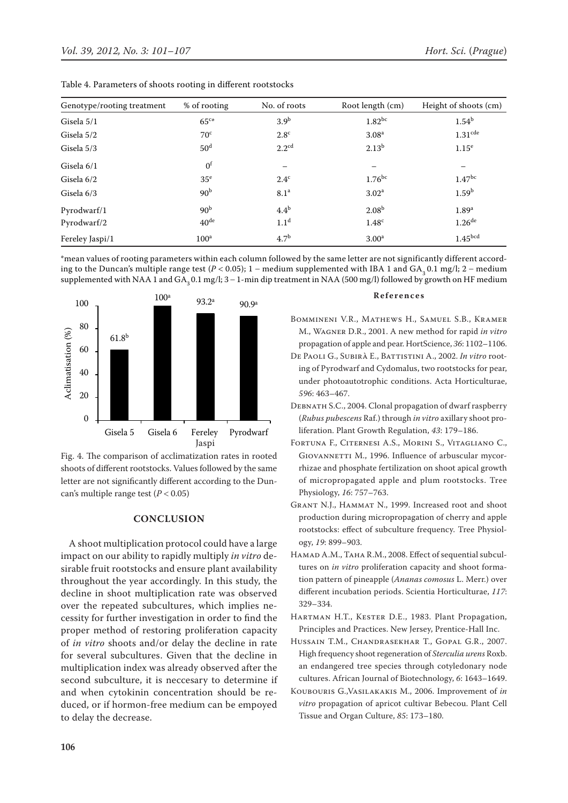| Genotype/rooting treatment | % of rooting     | No. of roots      | Root length (cm)  | Height of shoots (cm) |
|----------------------------|------------------|-------------------|-------------------|-----------------------|
| Gisela 5/1                 | 65 <sup>c</sup>  | 3.9 <sup>b</sup>  | $1.82^{bc}$       | 1.54 <sup>b</sup>     |
| Gisela 5/2                 | 70 <sup>c</sup>  | 2.8 <sup>c</sup>  | 3.08 <sup>a</sup> | $1.31$ <sup>cde</sup> |
| Gisela 5/3                 | 50 <sup>d</sup>  | $2.2^{\text{cd}}$ | $2.13^{b}$        | 1.15 <sup>e</sup>     |
| Gisela 6/1                 | 0 <sup>f</sup>   |                   | -                 |                       |
| Gisela 6/2                 | 35 <sup>e</sup>  | $2.4^{\circ}$     | $1.76^{bc}$       | 1.47 <sup>bc</sup>    |
| Gisela 6/3                 | 90 <sup>b</sup>  | 8.1 <sup>a</sup>  | 3.02 <sup>a</sup> | 1.59 <sup>b</sup>     |
| Pyrodwarf/1                | 90 <sup>b</sup>  | 4.4 <sup>b</sup>  | 2.08 <sup>b</sup> | 1.89 <sup>a</sup>     |
| Pyrodwarf/2                | 40 <sup>de</sup> | 1.1 <sup>d</sup>  | 1.48 <sup>c</sup> | $1.26$ <sup>de</sup>  |
| Fereley Jaspi/1            | 100 <sup>a</sup> | 4.7 <sup>b</sup>  | 3.00 <sup>a</sup> | 1.45 <sup>bcd</sup>   |

Table 4. Parameters of shoots rooting in different rootstocks

\*mean values of rooting parameters within each column followed by the same letter are not significantly different according to the Duncan's multiple range test  $(P < 0.05)$ ; 1 – medium supplemented with IBA 1 and GA<sub>3</sub> 0.1 mg/l; 2 – medium supplemented with NAA 1 and  $GA_3 0.1$  mg/l;  $3 - 1$ -min dip treatment in NAA (500 mg/l) followed by growth on HF medium



Fig. 4. The comparison of acclimatization rates in rooted shoots of different rootstocks. Values followed by the same letter are not significantly different according to the Duncan's multiple range test (*P* < 0.05)

## **CONCLUSION**

A shoot multiplication protocol could have a large impact on our ability to rapidly multiply *in vitro* desirable fruit rootstocks and ensure plant availability throughout the year accordingly. In this study, the decline in shoot multiplication rate was observed over the repeated subcultures, which implies necessity for further investigation in order to find the proper method of restoring proliferation capacity of *in vitro* shoots and/or delay the decline in rate for several subcultures. Given that the decline in multiplication index was already observed after the second subculture, it is neccesary to determine if and when cytokinin concentration should be reduced, or if hormon-free medium can be empoyed to delay the decrease.

#### **References**

- Bommineni V.R., Mathews H., Samuel S.B., Kramer M., Wagner D.R., 2001. A new method for rapid *in vitro* propagation of apple and pear. HortScience, *36*: 1102–1106.
- De Paoli G., Subirà E., Battistini A., 2002. *In vitro* rooting of Pyrodwarf and Cydomalus, two rootstocks for pear, under photoautotrophic conditions. Acta Horticulturae, *596*: 463–467.
- DEBNATH S.C., 2004. Clonal propagation of dwarf raspberry (*Rubus pubescens* Raf.) through *in vitro* axillary shoot proliferation. Plant Growth Regulation, *43*: 179–186.
- Fortuna F., Citernesi A.S., Morini S., Vitagliano C., GIOVANNETTI M., 1996. Influence of arbuscular mycorrhizae and phosphate fertilization on shoot apical growth of micropropagated apple and plum rootstocks. Tree Physiology, *16*: 757–763.
- Grant N.J., Hammat N., 1999. Increased root and shoot production during micropropagation of cherry and apple rootstocks: effect of subculture frequency. Tree Physiology, *19*: 899–903.
- Hamad A.M., Taha R.M., 2008. Effect of sequential subcultures on *in vitro* proliferation capacity and shoot formation pattern of pineapple (*Ananas comosus* L. Merr.) over different incubation periods. Scientia Horticulturae, *117*: 329–334.
- Hartman H.T., Kester D.E., 1983. Plant Propagation, Principles and Practices. New Jersey, Prentice-Hall Inc.
- Hussain T.M., Chandrasekhar T., Gopal G.R., 2007. High frequency shoot regeneration of *Sterculia urens* Roxb. an endangered tree species through cotyledonary node cultures. African Journal of Biotechnology, *6*: 1643–1649.
- Koubouris G.,Vasilakakis M., 2006. Improvement of *in vitro* propagation of apricot cultivar Bebecou. Plant Cell Tissue and Organ Culture, *85*: 173–180.